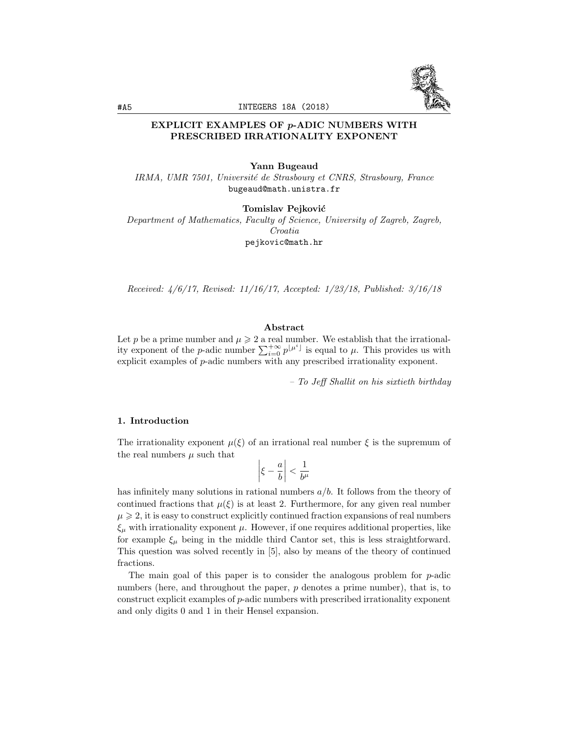

# EXPLICIT EXAMPLES OF *p*-ADIC NUMBERS WITH PRESCRIBED IRRATIONALITY EXPONENT

#### Yann Bugeaud

*IRMA, UMR 7501, Universit´e de Strasbourg et CNRS, Strasbourg, France* bugeaud@math.unistra.fr

Tomislav Pejković

*Department of Mathematics, Faculty of Science, University of Zagreb, Zagreb, Croatia* pejkovic@math.hr

*Received: 4/6/17, Revised: 11/16/17, Accepted: 1/23/18, Published: 3/16/18*

### Abstract

Let p be a prime number and  $\mu \geq 2$  a real number. We establish that the irrationality exponent of the *p*-adic number  $\sum_{i=0}^{+\infty} p^{\lfloor \mu^i \rfloor}$  is equal to  $\mu$ . This provides us with explicit examples of *p*-adic numbers with any prescribed irrationality exponent.

*– To Je*↵ *Shallit on his sixtieth birthday*

### 1. Introduction

The irrationality exponent  $\mu(\xi)$  of an irrational real number  $\xi$  is the supremum of the real numbers  $\mu$  such that

$$
\left|\xi-\frac{a}{b}\right|<\frac{1}{b^\mu}
$$

has infinitely many solutions in rational numbers *a/b*. It follows from the theory of continued fractions that  $\mu(\xi)$  is at least 2. Furthermore, for any given real number  $\mu \geq 2$ , it is easy to construct explicitly continued fraction expansions of real numbers  $\xi_{\mu}$  with irrationality exponent  $\mu$ . However, if one requires additional properties, like for example  $\xi_{\mu}$  being in the middle third Cantor set, this is less straightforward. This question was solved recently in [5], also by means of the theory of continued fractions.

The main goal of this paper is to consider the analogous problem for *p*-adic numbers (here, and throughout the paper, *p* denotes a prime number), that is, to construct explicit examples of *p*-adic numbers with prescribed irrationality exponent and only digits 0 and 1 in their Hensel expansion.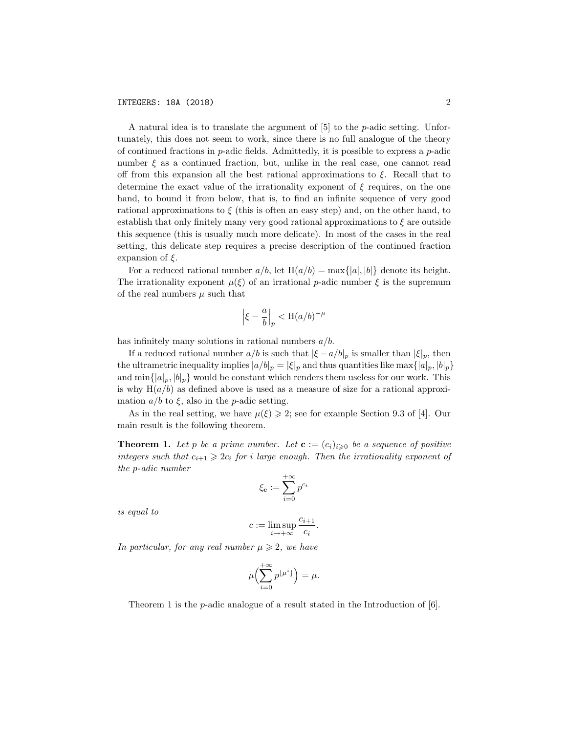A natural idea is to translate the argument of [5] to the *p*-adic setting. Unfortunately, this does not seem to work, since there is no full analogue of the theory of continued fractions in *p*-adic fields. Admittedly, it is possible to express a *p*-adic number  $\xi$  as a continued fraction, but, unlike in the real case, one cannot read off from this expansion all the best rational approximations to  $\xi$ . Recall that to determine the exact value of the irrationality exponent of  $\xi$  requires, on the one hand, to bound it from below, that is, to find an infinite sequence of very good rational approximations to  $\xi$  (this is often an easy step) and, on the other hand, to establish that only finitely many very good rational approximations to  $\xi$  are outside this sequence (this is usually much more delicate). In most of the cases in the real setting, this delicate step requires a precise description of the continued fraction expansion of  $\xi$ .

For a reduced rational number  $a/b$ , let  $H(a/b) = max\{|a|, |b|\}$  denote its height. The irrationality exponent  $\mu(\xi)$  of an irrational *p*-adic number  $\xi$  is the supremum of the real numbers  $\mu$  such that

$$
\left|\xi-\frac{a}{b}\right|_p < \mathcal{H}(a/b)^{-\mu}
$$

has infinitely many solutions in rational numbers *a/b*.

If a reduced rational number  $a/b$  is such that  $|\xi - a/b|_p$  is smaller than  $|\xi|_p$ , then the ultrametric inequality implies  $|a/b|_p = |\xi|_p$  and thus quantities like max $\{|a|_p, |b|_p\}$ and  $\min\{|a|_p, |b|_p\}$  would be constant which renders them useless for our work. This is why  $H(a/b)$  as defined above is used as a measure of size for a rational approximation  $a/b$  to  $\xi$ , also in the *p*-adic setting.

As in the real setting, we have  $\mu(\xi) \geq 2$ ; see for example Section 9.3 of [4]. Our main result is the following theorem.

**Theorem 1.** Let p be a prime number. Let  $\mathbf{c} := (c_i)_{i \geq 0}$  be a sequence of positive *integers such* that  $c_{i+1} \geq 2c_i$  *for i large enough.* Then the *irrationality exponent of the p-adic number*

$$
\xi_{\mathbf{c}}:=\sum_{i=0}^{+\infty}p^{c_i}
$$

*is equal to*

$$
c := \limsup_{i \to +\infty} \frac{c_{i+1}}{c_i}.
$$

*In particular, for any real number*  $\mu \geq 2$ *, we have* 

$$
\mu\Bigl(\sum_{i=0}^{+\infty}p^{\lfloor\mu^i\rfloor}\Bigr)=\mu.
$$

Theorem 1 is the *p*-adic analogue of a result stated in the Introduction of [6].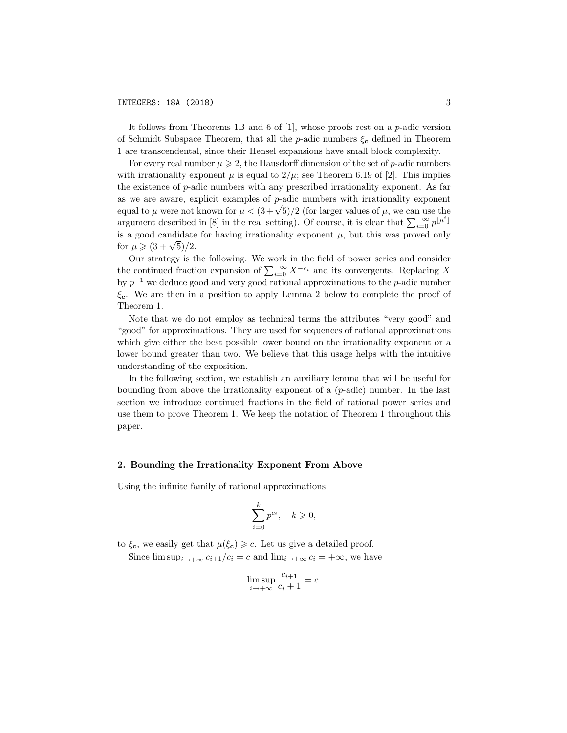It follows from Theorems 1B and 6 of [1], whose proofs rest on a *p*-adic version of Schmidt Subspace Theorem, that all the *p*-adic numbers  $\xi_c$  defined in Theorem 1 are transcendental, since their Hensel expansions have small block complexity.

For every real number  $\mu \geqslant 2$ , the Hausdorff dimension of the set of *p*-adic numbers with irrationality exponent  $\mu$  is equal to  $2/\mu$ ; see Theorem 6.19 of [2]. This implies the existence of *p*-adic numbers with any prescribed irrationality exponent. As far as we are aware, explicit examples of *p*-adic numbers with irrationality exponent equal to  $\mu$  were not known for  $\mu < (3+\sqrt{5})/2$  (for larger values of  $\mu$ , we can use the argument described in [8] in the real setting). Of course, it is clear that  $\sum_{i=0}^{+\infty} p^{\lfloor \mu^i \rfloor}$ is a good candidate for having irrationality exponent  $\mu$ , but this was proved only for  $\mu \geq (3 + \sqrt{5})/2$ .

Our strategy is the following. We work in the field of power series and consider the continued fraction expansion of  $\sum_{i=0}^{+\infty} X^{-c_i}$  and its convergents. Replacing X by  $p^{-1}$  we deduce good and very good rational approximations to the *p*-adic number  $\xi_c$ . We are then in a position to apply Lemma 2 below to complete the proof of Theorem 1.

Note that we do not employ as technical terms the attributes "very good" and "good" for approximations. They are used for sequences of rational approximations which give either the best possible lower bound on the irrationality exponent or a lower bound greater than two. We believe that this usage helps with the intuitive understanding of the exposition.

In the following section, we establish an auxiliary lemma that will be useful for bounding from above the irrationality exponent of a (*p*-adic) number. In the last section we introduce continued fractions in the field of rational power series and use them to prove Theorem 1. We keep the notation of Theorem 1 throughout this paper.

### 2. Bounding the Irrationality Exponent From Above

Using the infinite family of rational approximations

$$
\sum_{i=0}^{k} p^{c_i}, \quad k \geqslant 0,
$$

to  $\xi_c$ , we easily get that  $\mu(\xi_c) \geq c$ . Let us give a detailed proof.

Since  $\limsup_{i \to +\infty} c_{i+1}/c_i = c$  and  $\lim_{i \to +\infty} c_i = +\infty$ , we have

$$
\limsup_{i \to +\infty} \frac{c_{i+1}}{c_i + 1} = c.
$$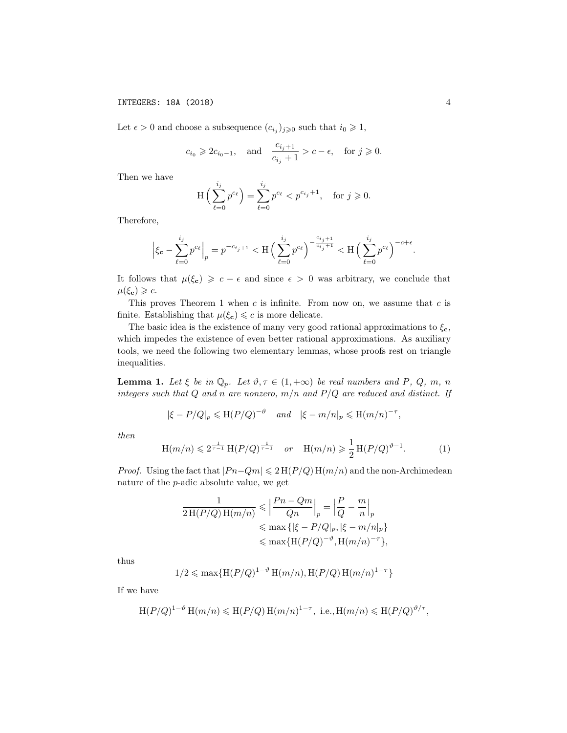INTEGERS: 18A (2018) 4

Let  $\epsilon > 0$  and choose a subsequence  $(c_{i_j})_{j \geq 0}$  such that  $i_0 \geq 1$ ,

$$
c_{i_0} \geq 2c_{i_0-1}
$$
, and  $\frac{c_{i_j+1}}{c_{i_j}+1} > c - \epsilon$ , for  $j \geq 0$ .

Then we have

$$
H\left(\sum_{\ell=0}^{i_j} p^{c_\ell}\right) = \sum_{\ell=0}^{i_j} p^{c_\ell} < p^{c_{i_j}+1}, \quad \text{for } j \geqslant 0.
$$

Therefore,

$$
\Big|\xi_{\mathbf{c}}-\sum_{\ell=0}^{i_j}p^{c_\ell}\Big|_p=p^{-c_{i_j+1}}<\mathcal{H}\Big(\sum_{\ell=0}^{i_j}p^{c_\ell}\Big)^{-\frac{c_{i_j+1}}{c_{i_j}+1}}<\mathcal{H}\Big(\sum_{\ell=0}^{i_j}p^{c_\ell}\Big)^{-c+\epsilon}.
$$

It follows that  $\mu(\xi_c) \geqslant c - \epsilon$  and since  $\epsilon > 0$  was arbitrary, we conclude that  $\mu(\xi_{\mathbf{c}}) \geqslant c.$ 

This proves Theorem 1 when *c* is infinite. From now on, we assume that *c* is finite. Establishing that  $\mu(\xi_c) \leq c$  is more delicate.

The basic idea is the existence of many very good rational approximations to  $\xi_{\mathbf{c}}$ , which impedes the existence of even better rational approximations. As auxiliary tools, we need the following two elementary lemmas, whose proofs rest on triangle inequalities.

**Lemma 1.** Let  $\xi$  be in  $\mathbb{Q}_p$ . Let  $\vartheta, \tau \in (1, +\infty)$  be real numbers and P, Q, m, n *integers such that Q and n are nonzero, m/n and P/Q are reduced and distinct. If*

$$
|\xi - P/Q|_p \leq H(P/Q)^{-\vartheta}
$$
 and  $|\xi - m/n|_p \leq H(m/n)^{-\tau}$ ,

*then*

$$
H(m/n) \leq 2^{\frac{1}{\tau - 1}} H(P/Q)^{\frac{1}{\tau - 1}} \quad or \quad H(m/n) \geq \frac{1}{2} H(P/Q)^{\vartheta - 1}.
$$
 (1)

*Proof.* Using the fact that  $|Pn-Qm| \leq 2 H(P/Q) H(m/n)$  and the non-Archimedean nature of the *p*-adic absolute value, we get

$$
\frac{1}{2\operatorname{H}(P/Q)\operatorname{H}(m/n)} \leqslant \left|\frac{Pn-Qm}{Qn}\right|_p = \left|\frac{P}{Q} - \frac{m}{n}\right|_p
$$
  

$$
\leqslant \max\left\{\left|\xi - P/Q\right|_p, \left|\xi - m/n\right|_p\right\}
$$
  

$$
\leqslant \max\{\operatorname{H}(P/Q)^{-\vartheta}, \operatorname{H}(m/n)^{-\tau}\},
$$

thus

$$
1/2 \le \max\{H(P/Q)^{1-\vartheta} H(m/n), H(P/Q) H(m/n)^{1-\tau}\}\
$$

If we have

$$
\mathcal{H}(P/Q)^{1-\vartheta} \mathcal{H}(m/n) \leqslant \mathcal{H}(P/Q) \mathcal{H}(m/n)^{1-\tau}, \text{ i.e., } \mathcal{H}(m/n) \leqslant \mathcal{H}(P/Q)^{\vartheta/\tau},
$$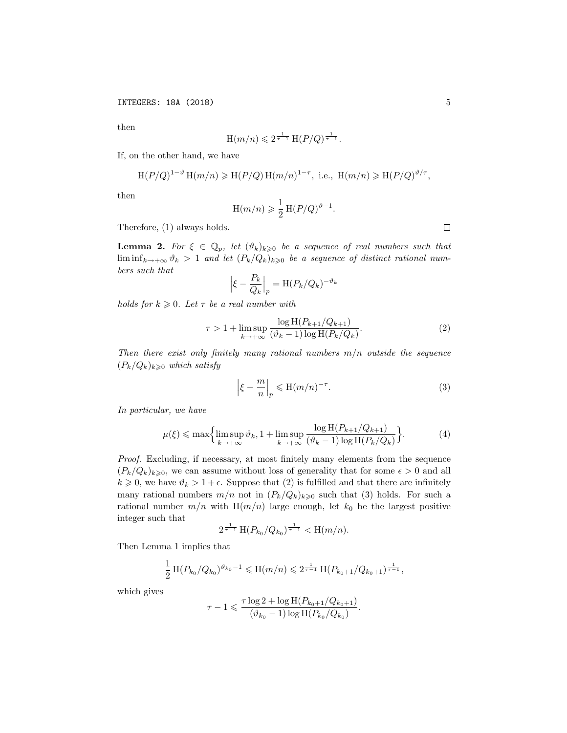then

$$
H(m/n) \leq 2^{\frac{1}{\tau-1}} H(P/Q)^{\frac{1}{\tau-1}}.
$$

If, on the other hand, we have

$$
\mathrm{H}(P/Q)^{1-\vartheta} \mathrm{H}(m/n) \geq \mathrm{H}(P/Q) \mathrm{H}(m/n)^{1-\tau}, \text{ i.e., } \mathrm{H}(m/n) \geq \mathrm{H}(P/Q)^{\vartheta/\tau},
$$

then

$$
H(m/n) \geq \frac{1}{2} H(P/Q)^{\vartheta - 1}.
$$

Therefore, (1) always holds.

**Lemma 2.** For  $\xi \in \mathbb{Q}_p$ , let  $(\vartheta_k)_{k\geqslant 0}$  be a sequence of real numbers such that  $\liminf_{k \to +\infty} \vartheta_k > 1$  and let  $(P_k/Q_k)_{k \geqslant 0}$  be a sequence of distinct rational num*bers such that*  $\begin{array}{c} \hline \end{array}$ 

$$
\left|\xi - \frac{P_k}{Q_k}\right|_p = \mathcal{H}(P_k/Q_k)^{-\vartheta_k}
$$

*holds for*  $k \geq 0$ *. Let*  $\tau$  *be a real number with* 

$$
\tau > 1 + \limsup_{k \to +\infty} \frac{\log H(P_{k+1}/Q_{k+1})}{(\vartheta_k - 1)\log H(P_k/Q_k)}.
$$
 (2)

*Then there exist only finitely many rational numbers m/n outside the sequence*  $(P_k/Q_k)_{k\geqslant 0}$  *which satisfy* 

$$
\left|\xi - \frac{m}{n}\right|_p \leqslant H(m/n)^{-\tau}.\tag{3}
$$

*In particular, we have*

$$
\mu(\xi) \le \max\left\{\limsup_{k \to +\infty} \vartheta_k, 1 + \limsup_{k \to +\infty} \frac{\log H(P_{k+1}/Q_{k+1})}{(\vartheta_k - 1)\log H(P_k/Q_k)}\right\}.
$$
 (4)

*Proof.* Excluding, if necessary, at most finitely many elements from the sequence  $(P_k/Q_k)_{k\geqslant0}$ , we can assume without loss of generality that for some  $\epsilon > 0$  and all  $k \geq 0$ , we have  $\vartheta_k > 1 + \epsilon$ . Suppose that (2) is fulfilled and that there are infinitely many rational numbers  $m/n$  not in  $(P_k/Q_k)_{k\geqslant 0}$  such that (3) holds. For such a rational number  $m/n$  with  $H(m/n)$  large enough, let  $k_0$  be the largest positive integer such that

$$
2^{\frac{1}{\tau-1}} \operatorname{H}(P_{k_0}/Q_{k_0})^{\frac{1}{\tau-1}} < \operatorname{H}(m/n).
$$

Then Lemma 1 implies that

$$
\frac{1}{2} \operatorname{H}(P_{k_0}/Q_{k_0})^{\vartheta_{k_0}-1} \leqslant \operatorname{H}(m/n) \leqslant 2^{\frac{1}{\tau-1}} \operatorname{H}(P_{k_0+1}/Q_{k_0+1})^{\frac{1}{\tau-1}},
$$

which gives

$$
\tau - 1 \leqslant \frac{\tau \log 2 + \log \text{H}(P_{k_0+1}/Q_{k_0+1})}{(\vartheta_{k_0} - 1) \log \text{H}(P_{k_0}/Q_{k_0})}.
$$

 $\Box$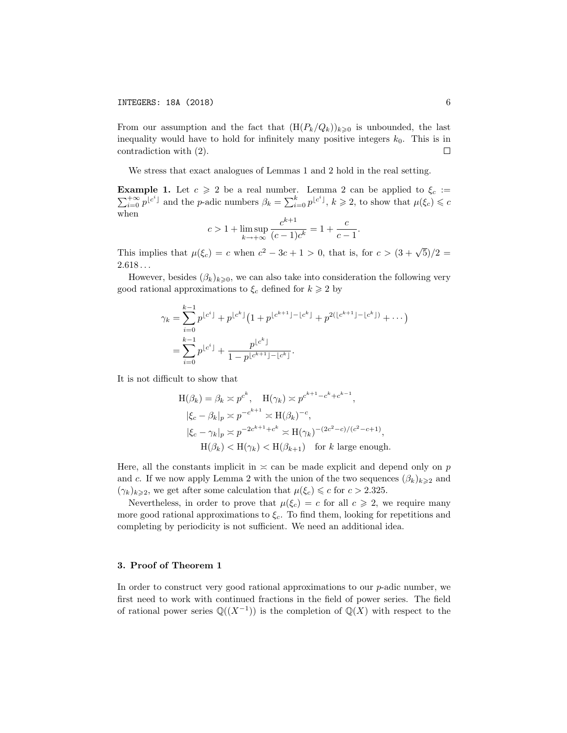From our assumption and the fact that  $(H(P_k/Q_k))_{k\geqslant0}$  is unbounded, the last inequality would have to hold for infinitely many positive integers  $k_0$ . This is in contradiction with (2).  $\Box$ 

We stress that exact analogues of Lemmas 1 and 2 hold in the real setting.

**Example 1.** Let  $c \geq 2$  be a real number. Lemma 2 can be applied to  $\xi_c :=$  $\sum_{i=0}^{+\infty} p^{\lfloor c^i \rfloor}$  and the *p*-adic numbers  $\beta_k = \sum_{i=0}^k p^{\lfloor c^i \rfloor}$ ,  $k \geq 2$ , to show that  $\mu(\xi_c) \leq c$ when

$$
c > 1 + \limsup_{k \to +\infty} \frac{c^{k+1}}{(c-1)c^k} = 1 + \frac{c}{c-1}.
$$

This implies that  $\mu(\xi_c) = c$  when  $c^2 - 3c + 1 > 0$ , that is, for  $c > (3 + \sqrt{5})/2 =$ 2*.*618 *. . .*

However, besides  $(\beta_k)_{k\geqslant0}$ , we can also take into consideration the following very good rational approximations to  $\xi_c$  defined for  $k \geq 2$  by

$$
\gamma_k = \sum_{i=0}^{k-1} p^{\lfloor c^i \rfloor} + p^{\lfloor c^k \rfloor} \left( 1 + p^{\lfloor c^{k+1} \rfloor - \lfloor c^k \rfloor} + p^{2(\lfloor c^{k+1} \rfloor - \lfloor c^k \rfloor)} + \cdots \right)
$$
  
= 
$$
\sum_{i=0}^{k-1} p^{\lfloor c^i \rfloor} + \frac{p^{\lfloor c^k \rfloor}}{1 - p^{\lfloor c^{k+1} \rfloor - \lfloor c^k \rfloor}}.
$$

It is not difficult to show that

$$
H(\beta_k) = \beta_k \asymp p^{c^k}, \quad H(\gamma_k) \asymp p^{c^{k+1} - c^k + c^{k-1}},
$$
  
\n
$$
|\xi_c - \beta_k|_p \asymp p^{-c^{k+1}} \asymp H(\beta_k)^{-c},
$$
  
\n
$$
|\xi_c - \gamma_k|_p \asymp p^{-2c^{k+1} + c^k} \asymp H(\gamma_k)^{-(2c^2 - c)/(c^2 - c + 1)},
$$
  
\n
$$
H(\beta_k) < H(\gamma_k) < H(\beta_{k+1}) \quad \text{for } k \text{ large enough.}
$$

Here, all the constants implicit in  $\leq$  can be made explicit and depend only on *p* and *c*. If we now apply Lemma 2 with the union of the two sequences  $(\beta_k)_{k\geqslant2}$  and  $(\gamma_k)_{k \geqslant 2}$ , we get after some calculation that  $\mu(\xi_c) \leqslant c$  for  $c > 2.325$ .

Nevertheless, in order to prove that  $\mu(\xi_c) = c$  for all  $c \geq 2$ , we require many more good rational approximations to  $\xi_c$ . To find them, looking for repetitions and completing by periodicity is not sufficient. We need an additional idea.

## 3. Proof of Theorem 1

In order to construct very good rational approximations to our *p*-adic number, we first need to work with continued fractions in the field of power series. The field of rational power series  $\mathbb{Q}((X^{-1}))$  is the completion of  $\mathbb{Q}(X)$  with respect to the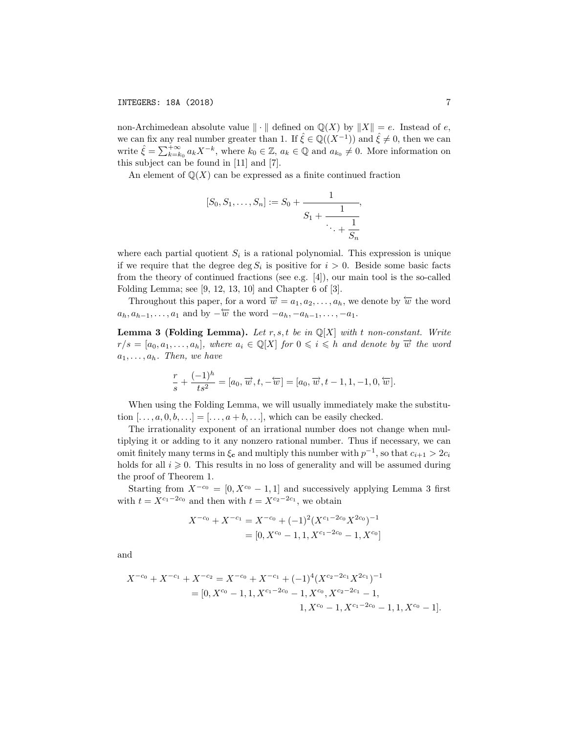non-Archimedean absolute value  $\|\cdot\|$  defined on  $\mathbb{Q}(X)$  by  $\|X\| = e$ . Instead of *e*, we can fix any real number greater than 1. If  $\zeta \in \mathbb{Q}((X^{-1}))$  and  $\zeta \neq 0$ , then we can write  $\hat{\xi} = \sum_{k=k_0}^{+\infty} a_k X^{-k}$ , where  $k_0 \in \mathbb{Z}$ ,  $a_k \in \mathbb{Q}$  and  $a_{k_0} \neq 0$ . More information on this subject can be found in [11] and [7].

An element of  $\mathbb{Q}(X)$  can be expressed as a finite continued fraction

$$
[S_0, S_1, \dots, S_n] := S_0 + \cfrac{1}{S_1 + \cfrac{1}{\ddots + \cfrac{1}{S_n}}},
$$

where each partial quotient  $S_i$  is a rational polynomial. This expression is unique if we require that the degree deg  $S_i$  is positive for  $i > 0$ . Beside some basic facts from the theory of continued fractions (see e.g. [4]), our main tool is the so-called Folding Lemma; see [9, 12, 13, 10] and Chapter 6 of [3].

Throughout this paper, for a word  $\vec{w} = a_1, a_2, \ldots, a_h$ , we denote by  $\varpi$  the word  $a_h, a_{h-1}, \ldots, a_1$  and by  $-\overleftarrow{w}$  the word  $-a_h, -a_{h-1}, \ldots, -a_1$ .

Lemma 3 (Folding Lemma). *Let r, s,t be in* Q[*X*] *with t non-constant. Write*  $r/s = [a_0, a_1, \ldots, a_h],$  where  $a_i \in \mathbb{Q}[X]$  for  $0 \leq i \leq h$  and denote by  $\overrightarrow{w}$  the word  $a_1, \ldots, a_h$ *. Then, we have* 

$$
\frac{r}{s} + \frac{(-1)^h}{ts^2} = [a_0, \overrightarrow{w}, t, -\overleftarrow{w}] = [a_0, \overrightarrow{w}, t - 1, 1, -1, 0, \overleftarrow{w}].
$$

When using the Folding Lemma, we will usually immediately make the substitution  $[\ldots, a, 0, b, \ldots] = [\ldots, a + b, \ldots]$ , which can be easily checked.

The irrationality exponent of an irrational number does not change when multiplying it or adding to it any nonzero rational number. Thus if necessary, we can omit finitely many terms in  $\xi_c$  and multiply this number with  $p^{-1}$ , so that  $c_{i+1} > 2c_i$ holds for all  $i \geqslant 0$ . This results in no loss of generality and will be assumed during the proof of Theorem 1.

Starting from  $X^{-c_0} = [0, X^{c_0} - 1, 1]$  and successively applying Lemma 3 first with  $t = X^{c_1-2c_0}$  and then with  $t = X^{c_2-2c_1}$ , we obtain

$$
X^{-c_0} + X^{-c_1} = X^{-c_0} + (-1)^2 (X^{c_1 - 2c_0} X^{2c_0})^{-1}
$$
  
= [0, X^{c\_0} - 1, 1, X^{c\_1 - 2c\_0} - 1, X^{c\_0}]

and

$$
X^{-c_0} + X^{-c_1} + X^{-c_2} = X^{-c_0} + X^{-c_1} + (-1)^4 (X^{c_2 - 2c_1} X^{2c_1})^{-1}
$$
  
= [0,  $X^{c_0} - 1, 1, X^{c_1 - 2c_0} - 1, X^{c_0}, X^{c_2 - 2c_1} - 1,$   

$$
1, X^{c_0} - 1, X^{c_1 - 2c_0} - 1, 1, X^{c_0} - 1].
$$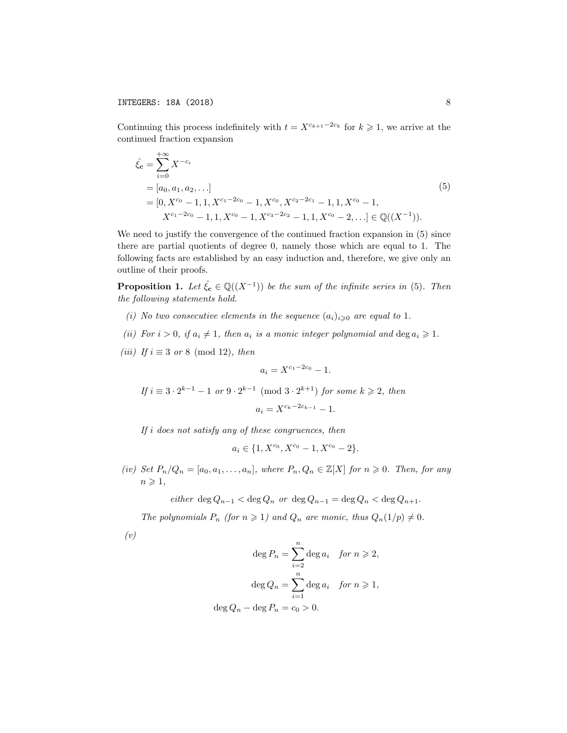Continuing this process indefinitely with  $t = X^{c_{k+1}-2c_k}$  for  $k \geq 1$ , we arrive at the continued fraction expansion

$$
\hat{\xi}_{\mathbf{c}} = \sum_{i=0}^{+\infty} X^{-c_i}
$$
\n= [a\_0, a\_1, a\_2, \ldots]  
\n= [0, X^{c\_0} - 1, 1, X^{c\_1 - 2c\_0} - 1, X^{c\_0}, X^{c\_2 - 2c\_1} - 1, 1, X^{c\_0} - 1,  
\nX^{c\_1 - 2c\_0} - 1, 1, X^{c\_0} - 1, X^{c\_3 - 2c\_2} - 1, 1, X^{c\_0} - 2, \ldots] \in \mathbb{Q}((X^{-1})).\n(5)

We need to justify the convergence of the continued fraction expansion in (5) since there are partial quotients of degree 0, namely those which are equal to 1. The following facts are established by an easy induction and, therefore, we give only an outline of their proofs.

**Proposition 1.** Let  $\hat{\xi}_c \in \mathbb{Q}((X^{-1}))$  be the sum of the infinite series in (5). Then *the following statements hold.*

- *(i) No two consecutive elements in the sequence*  $(a_i)_{i\geq0}$  *are equal to* 1*.*
- (ii) For  $i > 0$ , if  $a_i \neq 1$ , then  $a_i$  is a monic integer polynomial and  $\deg a_i \geq 1$ .
- *(iii) If*  $i \equiv 3$  *or* 8 (mod 12)*, then*

$$
a_i = X^{c_1 - 2c_0} - 1.
$$

*If*  $i \equiv 3 \cdot 2^{k-1} - 1$  *or*  $9 \cdot 2^{k-1}$  (mod  $3 \cdot 2^{k+1}$ ) *for some*  $k \ge 2$ *, then* 

$$
a_i = X^{c_k - 2c_{k-1}} - 1.
$$

*If i does not satisfy any of these congruences, then*

$$
a_i \in \{1, X^{c_0}, X^{c_0} - 1, X^{c_0} - 2\}.
$$

(iv) Set  $P_n/Q_n = [a_0, a_1, \ldots, a_n]$ , where  $P_n, Q_n \in \mathbb{Z}[X]$  for  $n \geq 0$ . Then, for any  $n \geqslant 1$ ,

 $e^{i$ *ther*  $\deg Q_{n-1} < \deg Q_n$  *or*  $\deg Q_{n-1} = \deg Q_n < \deg Q_{n+1}$ .

*The polynomials*  $P_n$  *(for*  $n \ge 1$ *) and*  $Q_n$  *are monic, thus*  $Q_n(1/p) \ne 0$ *.* 

*(v)*

$$
\deg P_n = \sum_{i=2}^n \deg a_i \quad \text{for } n \geq 2,
$$

$$
\deg Q_n = \sum_{i=1}^n \deg a_i \quad \text{for } n \geq 1,
$$

$$
\deg Q_n - \deg P_n = c_0 > 0.
$$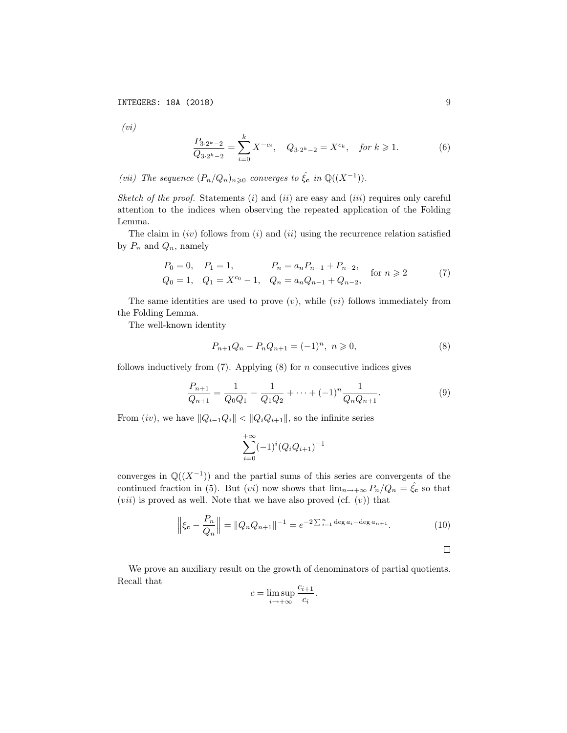*(vi)*

$$
\frac{P_{3\cdot 2^k - 2}}{Q_{3\cdot 2^k - 2}} = \sum_{i=0}^k X^{-c_i}, \quad Q_{3\cdot 2^k - 2} = X^{c_k}, \quad \text{for } k \geq 1. \tag{6}
$$

*(vii) The sequence*  $(P_n/Q_n)_{n\geqslant0}$  *converges to*  $\hat{\xi}_c$  *in*  $\mathbb{Q}((X^{-1}))$ *.* 

*Sketch of the proof.* Statements (*i*) and (*ii*) are easy and (*iii*) requires only careful attention to the indices when observing the repeated application of the Folding Lemma.

The claim in (*iv*) follows from (*i*) and (*ii*) using the recurrence relation satisfied by  $P_n$  and  $Q_n$ , namely

$$
P_0 = 0, \quad P_1 = 1, \qquad P_n = a_n P_{n-1} + P_{n-2},
$$
  
\n
$$
Q_0 = 1, \quad Q_1 = X^{c_0} - 1, \quad Q_n = a_n Q_{n-1} + Q_{n-2},
$$
 for  $n \ge 2$  (7)

The same identities are used to prove (*v*), while (*vi*) follows immediately from the Folding Lemma.

The well-known identity

$$
P_{n+1}Q_n - P_n Q_{n+1} = (-1)^n, \ n \geqslant 0,
$$
\n<sup>(8)</sup>

follows inductively from (7). Applying (8) for *n* consecutive indices gives

$$
\frac{P_{n+1}}{Q_{n+1}} = \frac{1}{Q_0 Q_1} - \frac{1}{Q_1 Q_2} + \dots + (-1)^n \frac{1}{Q_n Q_{n+1}}.
$$
\n(9)

From (*iv*), we have  $||Q_{i-1}Q_i|| < ||Q_iQ_{i+1}||$ , so the infinite series

$$
\sum_{i=0}^{+\infty} (-1)^i (Q_i Q_{i+1})^{-1}
$$

converges in  $\mathbb{Q}((X^{-1}))$  and the partial sums of this series are convergents of the continued fraction in (5). But (*vi*) now shows that  $\lim_{n\to+\infty} P_n/Q_n = \hat{\xi}_c$  so that  $(vii)$  is proved as well. Note that we have also proved  $(cf. (v))$  that

$$
\left\|\xi_{\mathbf{c}} - \frac{P_n}{Q_n}\right\| = \|Q_n Q_{n+1}\|^{-1} = e^{-2\sum_{i=1}^n \deg a_i - \deg a_{n+1}}.\tag{10}
$$

 $\Box$ 

We prove an auxiliary result on the growth of denominators of partial quotients. Recall that

$$
c = \limsup_{i \to +\infty} \frac{c_{i+1}}{c_i}.
$$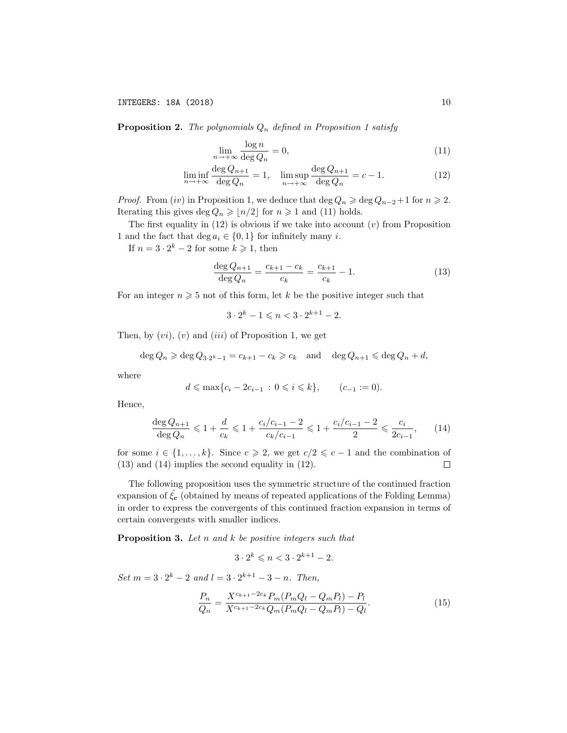Proposition 2. *The polynomials Q<sup>n</sup> defined in Proposition 1 satisfy*

$$
\lim_{n \to +\infty} \frac{\log n}{\deg Q_n} = 0,\tag{11}
$$

$$
\liminf_{n \to +\infty} \frac{\deg Q_{n+1}}{\deg Q_n} = 1, \quad \limsup_{n \to +\infty} \frac{\deg Q_{n+1}}{\deg Q_n} = c - 1.
$$
\n(12)

*Proof.* From (*iv*) in Proposition 1, we deduce that  $\deg Q_n \geq \deg Q_{n-2} + 1$  for  $n \geq 2$ . Iterating this gives deg  $Q_n \geqslant \lfloor n/2 \rfloor$  for  $n \geqslant 1$  and (11) holds.

The first equality in (12) is obvious if we take into account (*v*) from Proposition 1 and the fact that deg  $a_i \in \{0, 1\}$  for infinitely many *i*.

If  $n = 3 \cdot 2^k - 2$  for some  $k \ge 1$ , then

$$
\frac{\deg Q_{n+1}}{\deg Q_n} = \frac{c_{k+1} - c_k}{c_k} = \frac{c_{k+1}}{c_k} - 1.
$$
\n(13)

For an integer  $n \geq 5$  not of this form, let k be the positive integer such that

 $3 \cdot 2^k - 1 \leq n \leq 3 \cdot 2^{k+1} - 2.$ 

Then, by (*vi*), (*v*) and (*iii*) of Proposition 1, we get

 $\deg Q_n \geq \deg Q_{3 \cdot 2^k-1} = c_{k+1} - c_k \geq c_k$  and  $\deg Q_{n+1} \leq \deg Q_n + d$ ,

where

$$
d \le \max\{c_i - 2c_{i-1} : 0 \le i \le k\},
$$
  $(c_{-1} := 0).$ 

Hence,

$$
\frac{\deg Q_{n+1}}{\deg Q_n} \leq 1 + \frac{d}{c_k} \leq 1 + \frac{c_i/c_{i-1} - 2}{c_k/c_{i-1}} \leq 1 + \frac{c_i/c_{i-1} - 2}{2} \leq \frac{c_i}{2c_{i-1}},\qquad(14)
$$

for some  $i \in \{1, ..., k\}$ . Since  $c \ge 2$ , we get  $c/2 \le c - 1$  and the combination of (13) and (14) implies the second equality in (12). (13) and (14) implies the second equality in (12).

The following proposition uses the symmetric structure of the continued fraction expansion of  $\xi_c$  (obtained by means of repeated applications of the Folding Lemma) in order to express the convergents of this continued fraction expansion in terms of certain convergents with smaller indices.

Proposition 3. *Let n and k be positive integers such that*

$$
3 \cdot 2^k \leqslant n < 3 \cdot 2^{k+1} - 2.
$$

 $Set\ m = 3 \cdot 2^k - 2 \ and\ l = 3 \cdot 2^{k+1} - 3 - n$ . *Then,* 

$$
\frac{P_n}{Q_n} = \frac{X^{c_{k+1}-2c_k} P_m(P_m Q_l - Q_m P_l) - P_l}{X^{c_{k+1}-2c_k} Q_m(P_m Q_l - Q_m P_l) - Q_l}.
$$
\n(15)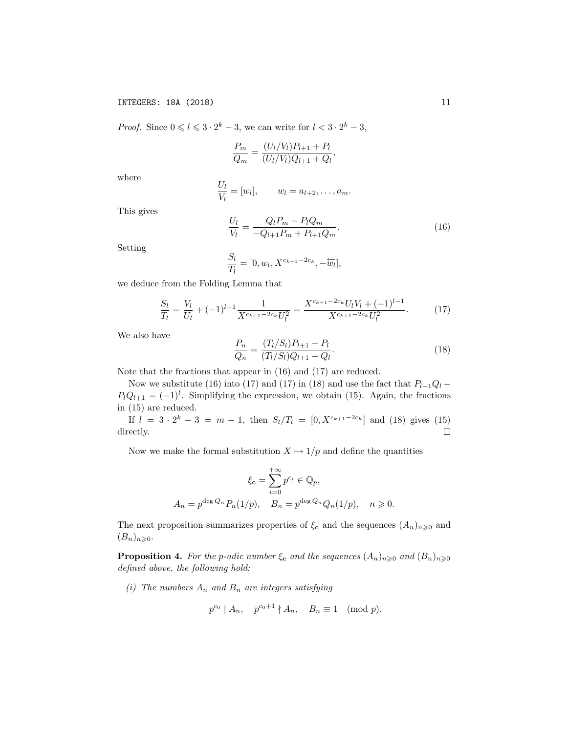*Proof.* Since  $0 \le l \le 3 \cdot 2^k - 3$ , we can write for  $l < 3 \cdot 2^k - 3$ ,

$$
\frac{P_m}{Q_m} = \frac{(U_l/V_l)P_{l+1} + P_l}{(U_l/V_l)Q_{l+1} + Q_l},
$$

where

$$
\frac{U_l}{V_l} = [w_l], \qquad w_l = a_{l+2}, \dots, a_m.
$$

This gives

$$
\frac{U_l}{V_l} = \frac{Q_l P_m - P_l Q_m}{-Q_{l+1} P_m + P_{l+1} Q_m}.
$$
\n(16)

Setting

$$
\frac{S_l}{T_l} = [0, w_l, X^{c_{k+1}-2c_k}, -\overleftarrow{w_l}],
$$

we deduce from the Folding Lemma that

$$
\frac{S_l}{T_l} = \frac{V_l}{U_l} + (-1)^{l-1} \frac{1}{X^{c_{k+1}-2c_k} U_l^2} = \frac{X^{c_{k+1}-2c_k} U_l V_l + (-1)^{l-1}}{X^{c_{k+1}-2c_k} U_l^2}.
$$
(17)

We also have

$$
\frac{P_n}{Q_n} = \frac{(T_l/S_l)P_{l+1} + P_l}{(T_l/S_l)Q_{l+1} + Q_l}.\tag{18}
$$

Note that the fractions that appear in (16) and (17) are reduced.

Now we substitute (16) into (17) and (17) in (18) and use the fact that  $P_{l+1}Q_l$  –  $P_lQ_{l+1} = (-1)^l$ . Simplifying the expression, we obtain (15). Again, the fractions in (15) are reduced.

If  $l = 3 \cdot 2^{k} - 3 = m - 1$ , then  $S_{l}/T_{l} = [0, X^{c_{k+1}-2c_{k}}]$  and (18) gives (15) rectly. directly.

Now we make the formal substitution  $X \mapsto 1/p$  and define the quantities

$$
\xi_{\mathbf{c}} = \sum_{i=0}^{+\infty} p^{c_i} \in \mathbb{Q}_p,
$$
  

$$
A_n = p^{\deg Q_n} P_n(1/p), \quad B_n = p^{\deg Q_n} Q_n(1/p), \quad n \ge 0.
$$

The next proposition summarizes properties of  $\xi_c$  and the sequences  $(A_n)_{n\geqslant 0}$  and  $(B_n)_{n\geqslant 0}$ .

**Proposition 4.** For the p-adic number  $\xi_c$  and the sequences  $(A_n)_{n\geqslant 0}$  and  $(B_n)_{n\geqslant 0}$ *defined above, the following hold:*

*(i) The numbers A<sup>n</sup> and B<sup>n</sup> are integers satisfying*

$$
p^{c_0} | A_n, p^{c_0+1} | A_n, B_n \equiv 1 \pmod{p}.
$$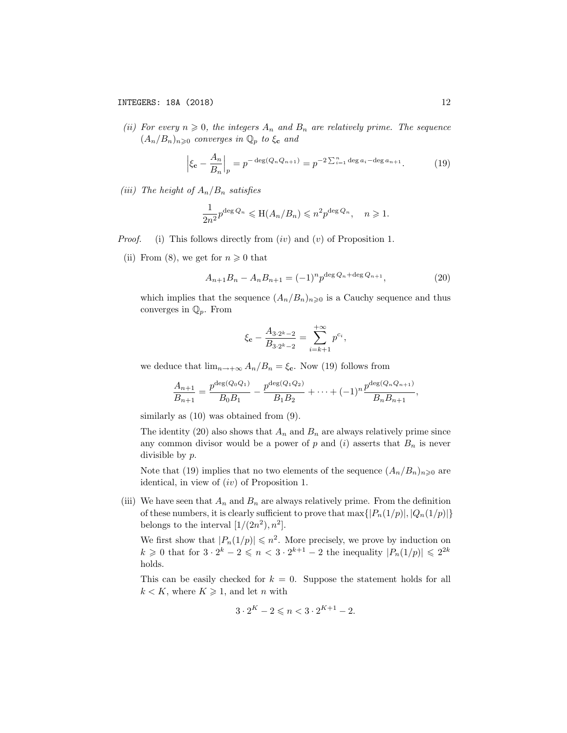*(ii)* For every  $n \geq 0$ , the *integers*  $A_n$  *and*  $B_n$  *are relatively prime. The sequence*  $(A_n/B_n)_{n\geqslant 0}$  *converges* in  $\mathbb{Q}_p$  *to*  $\xi_c$  *and* 

$$
\left|\xi_{\mathbf{c}} - \frac{A_n}{B_n}\right|_p = p^{-\deg(Q_n Q_{n+1})} = p^{-2\sum_{i=1}^n \deg a_i - \deg a_{n+1}}.\tag{19}
$$

*(iii) The height of*  $A_n/B_n$  *satisfies* 

$$
\frac{1}{2n^2}p^{\deg Q_n} \leqslant \mathcal{H}(A_n/B_n) \leqslant n^2 p^{\deg Q_n}, \quad n \geqslant 1.
$$

- *Proof.* (i) This follows directly from (*iv*) and (*v*) of Proposition 1.
	- (ii) From (8), we get for  $n \geq 0$  that

$$
A_{n+1}B_n - A_n B_{n+1} = (-1)^n p^{\deg Q_n + \deg Q_{n+1}},\tag{20}
$$

which implies that the sequence  $(A_n/B_n)_{n\geq 0}$  is a Cauchy sequence and thus converges in Q*p*. From

$$
\xi_{\mathbf{c}} - \frac{A_{3 \cdot 2^k - 2}}{B_{3 \cdot 2^k - 2}} = \sum_{i=k+1}^{+\infty} p^{c_i},
$$

we deduce that  $\lim_{n\to+\infty} A_n/B_n = \xi_c$ . Now (19) follows from

$$
\frac{A_{n+1}}{B_{n+1}} = \frac{p^{\deg(Q_0Q_1)}}{B_0B_1} - \frac{p^{\deg(Q_1Q_2)}}{B_1B_2} + \cdots + (-1)^n \frac{p^{\deg(Q_nQ_{n+1})}}{B_nB_{n+1}},
$$

similarly as  $(10)$  was obtained from  $(9)$ .

The identity (20) also shows that  $A_n$  and  $B_n$  are always relatively prime since any common divisor would be a power of  $p$  and  $(i)$  asserts that  $B_n$  is never divisible by *p*.

Note that (19) implies that no two elements of the sequence  $(A_n/B_n)_{n\geq 0}$  are identical, in view of (*iv*) of Proposition 1.

(iii) We have seen that  $A_n$  and  $B_n$  are always relatively prime. From the definition of these numbers, it is clearly sufficient to prove that  $\max\{|P_n(1/p)|, |Q_n(1/p)|\}$ belongs to the interval  $[1/(2n^2), n^2]$ .

We first show that  $|P_n(1/p)| \leq n^2$ . More precisely, we prove by induction on  $k \geq 0$  that for  $3 \cdot 2^k - 2 \leq n < 3 \cdot 2^{k+1} - 2$  the inequality  $|P_n(1/p)| \leq 2^{2k}$ holds.

This can be easily checked for  $k = 0$ . Suppose the statement holds for all  $k < K$ , where  $K \geq 1$ , and let *n* with

$$
3 \cdot 2^{K} - 2 \leqslant n < 3 \cdot 2^{K+1} - 2.
$$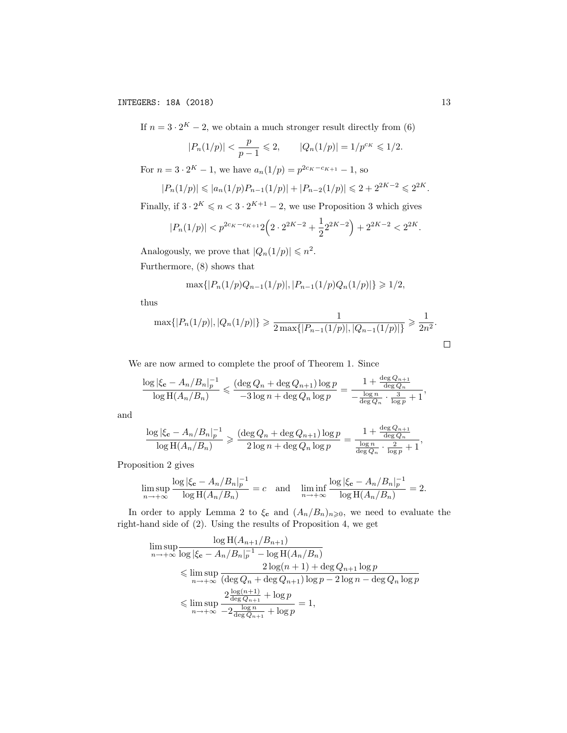If  $n = 3 \cdot 2^{K} - 2$ , we obtain a much stronger result directly from (6)

$$
|P_n(1/p)| < \frac{p}{p-1} \leqslant 2, \qquad |Q_n(1/p)| = 1/p^{c_K} \leqslant 1/2.
$$

For  $n = 3 \cdot 2^K - 1$ , we have  $a_n(1/p) = p^{2c_K - c_{K+1}} - 1$ , so

$$
|P_n(1/p)| \leqslant |a_n(1/p)P_{n-1}(1/p)| + |P_{n-2}(1/p)| \leqslant 2 + 2^{2K-2} \leqslant 2^{2K}.
$$

Finally, if  $3 \cdot 2^K \leq n < 3 \cdot 2^{K+1} - 2$ , we use Proposition 3 which gives

$$
|P_n(1/p)| < p^{2c_K - c_{K+1}} 2\left(2 \cdot 2^{2K-2} + \frac{1}{2} 2^{2K-2}\right) + 2^{2K-2} < 2^{2K}.
$$

Analogously, we prove that  $|Q_n(1/p)| \le n^2$ .

Furthermore, (8) shows that

$$
\max\{|P_n(1/p)Q_{n-1}(1/p)|, |P_{n-1}(1/p)Q_n(1/p)|\}\geq 1/2,
$$

thus

$$
\max\{|P_n(1/p)|, |Q_n(1/p)|\} \ge \frac{1}{2 \max\{|P_{n-1}(1/p)|, |Q_{n-1}(1/p)|\}} \ge \frac{1}{2n^2}.
$$

We are now armed to complete the proof of Theorem 1. Since

$$
\frac{\log |\xi_{\mathbf{c}} - A_n/B_n|_p^{-1}}{\log H(A_n/B_n)} \leqslant \frac{(\deg Q_n + \deg Q_{n+1})\log p}{-3\log n + \deg Q_n\log p} = \frac{1 + \frac{\deg Q_{n+1}}{\deg Q_n}}{-\frac{\log n}{\deg Q_n} \cdot \frac{3}{\log p} + 1},
$$

and

$$
\frac{\log |\xi_{\mathbf{c}} - A_n/B_n|_p^{-1}}{\log H(A_n/B_n)} \geq \frac{(\deg Q_n + \deg Q_{n+1})\log p}{2\log n + \deg Q_n\log p} = \frac{1 + \frac{\deg Q_{n+1}}{\deg Q_n}}{\frac{\log n}{\deg Q_n} \cdot \frac{2}{\log p} + 1},
$$

Proposition 2 gives

$$
\limsup_{n \to +\infty} \frac{\log |\xi_{\mathbf{c}} - A_n/B_n|_p^{-1}}{\log H(A_n/B_n)} = c \quad \text{and} \quad \liminf_{n \to +\infty} \frac{\log |\xi_{\mathbf{c}} - A_n/B_n|_p^{-1}}{\log H(A_n/B_n)} = 2.
$$

In order to apply Lemma 2 to  $\xi_c$  and  $(A_n/B_n)_{n\geqslant0}$ , we need to evaluate the right-hand side of (2). Using the results of Proposition 4, we get

$$
\limsup_{n \to +\infty} \frac{\log H(A_{n+1}/B_{n+1})}{\log |\xi_{\mathbf{c}} - A_n/B_n|_p^{-1} - \log H(A_n/B_n)}
$$
\n
$$
\leq \limsup_{n \to +\infty} \frac{2\log(n+1) + \deg Q_{n+1}\log p}{(\deg Q_n + \deg Q_{n+1})\log p - 2\log n - \deg Q_n \log p}
$$
\n
$$
\leq \limsup_{n \to +\infty} \frac{2\frac{\log(n+1)}{\deg Q_{n+1}} + \log p}{-2\frac{\log n}{\deg Q_{n+1}} + \log p} = 1,
$$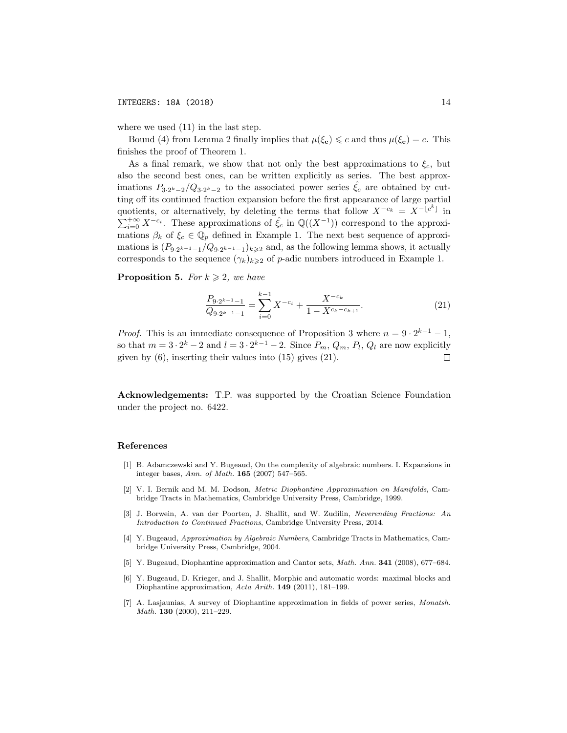where we used (11) in the last step.

Bound (4) from Lemma 2 finally implies that  $\mu(\xi_c) \leq c$  and thus  $\mu(\xi_c) = c$ . This finishes the proof of Theorem 1.

As a final remark, we show that not only the best approximations to  $\xi_c$ , but also the second best ones, can be written explicitly as series. The best approximations  $P_{3\cdot2^k-2}/Q_{3\cdot2^k-2}$  to the associated power series  $\hat{\xi}_c$  are obtained by cutting off its continued fraction expansion before the first appearance of large partial quotients, or alternatively, by deleting the terms that follow  $X^{-c_k} = X^{-\lfloor c^k \rfloor}$  in  $\sum_{i=0}^{+\infty} X^{-c_i}$ . These approximations of  $\hat{\xi}_c$  in  $\mathbb{Q}((X^{-1}))$  correspond to the approximations  $\beta_k$  of  $\xi_c \in \mathbb{Q}_p$  defined in Example 1. The next best sequence of approximations is  $(P_{9 \cdot 2^{k-1}-1}/Q_{9 \cdot 2^{k-1}-1})_{k \geq 2}$  and, as the following lemma shows, it actually corresponds to the sequence  $(\gamma_k)_{k\geqslant 2}$  of *p*-adic numbers introduced in Example 1.

**Proposition 5.** *For*  $k \geq 2$ *, we have* 

$$
\frac{P_{9\cdot 2^{k-1}-1}}{Q_{9\cdot 2^{k-1}-1}} = \sum_{i=0}^{k-1} X^{-c_i} + \frac{X^{-c_k}}{1 - X^{c_k - c_{k+1}}}.
$$
\n(21)

*Proof.* This is an immediate consequence of Proposition 3 where  $n = 9 \cdot 2^{k-1} - 1$ , so that  $m = 3 \cdot 2^k - 2$  and  $l = 3 \cdot 2^{k-1} - 2$ . Since  $P_m$ ,  $Q_m$ ,  $P_l$ ,  $Q_l$  are now explicitly given by (6), inserting their values into (15) gives (21). given by (6), inserting their values into (15) gives (21).

Acknowledgements: T.P. was supported by the Croatian Science Foundation under the project no. 6422.

#### References

- [1] B. Adamczewski and Y. Bugeaud, On the complexity of algebraic numbers. I. Expansions in integer bases, *Ann. of Math.* 165 (2007) 547–565.
- [2] V. I. Bernik and M. M. Dodson, *Metric Diophantine Approximation on Manifolds*, Cambridge Tracts in Mathematics, Cambridge University Press, Cambridge, 1999.
- [3] J. Borwein, A. van der Poorten, J. Shallit, and W. Zudilin, *Neverending Fractions: An Introduction to Continued Fractions*, Cambridge University Press, 2014.
- [4] Y. Bugeaud, *Approximation by Algebraic Numbers*, Cambridge Tracts in Mathematics, Cambridge University Press, Cambridge, 2004.
- [5] Y. Bugeaud, Diophantine approximation and Cantor sets, *Math. Ann.* 341 (2008), 677–684.
- [6] Y. Bugeaud, D. Krieger, and J. Shallit, Morphic and automatic words: maximal blocks and Diophantine approximation, *Acta Arith.* 149 (2011), 181–199.
- [7] A. Lasjaunias, A survey of Diophantine approximation in fields of power series, *Monatsh. Math.* 130 (2000), 211–229.